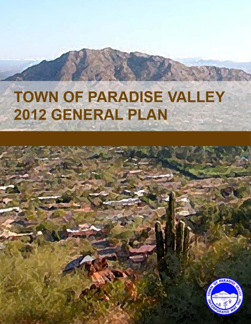# **TOWN OF PARADISE VALLEY** 2012 GENERAL PLAN

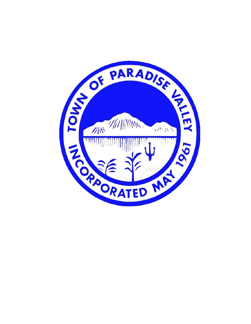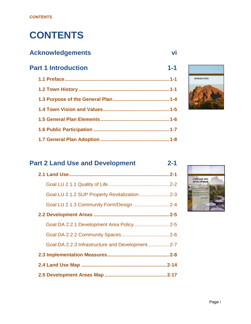# **CONTENTS**

#### **Acknowledgements vi**

### **Part 1 Introduction 1-1 1.1 Preface............................................................................1-1 1.2 Town History ..................................................................1-1**

# **INTRODUCTION**

#### **Part 2 Land Use and Development 2-1**

| Goal LU 2.1.2 SUP Property Revitalization2-3    |
|-------------------------------------------------|
| Goal LU 2.1.3 Community Form/Design  2-4        |
|                                                 |
| Goal DA 2.2.1 Development Area Policy  2-5      |
|                                                 |
| Goal DA 2.2.3 Infrastructure and Development2-7 |
|                                                 |
|                                                 |
|                                                 |

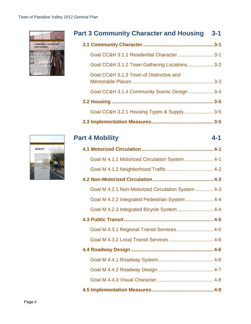

#### **Part 3 Community Character and Housing 3-1**

| Goal CC&H 3.1.1 Residential Character 3-1    |  |
|----------------------------------------------|--|
| Goal CC&H 3.1.2 Town Gathering Locations 3-2 |  |
| Goal CC&H 3.1.3 Town of Distinctive and      |  |
| Goal CC&H 3.1.4 Community Scenic Design  3-4 |  |
|                                              |  |
| Goal CC&H 3.2.1 Housing Types & Supply  3-5  |  |

**3.3 Implementation Measures............................................. 3-5**

# **Part 4 Mobility 4-1**

| Goal M 4.1.1 Motorized Circulation System  4-1     |
|----------------------------------------------------|
|                                                    |
|                                                    |
| Goal M 4.2.1 Non-Motorized Circulation System  4-3 |
| Goal M 4.2.2 Integrated Pedestrian System  4-4     |
| Goal M 4.2.3 Integrated Bicycle System  4-4        |
|                                                    |
| Goal M 4.3.1 Regional Transit Services 4-5         |
|                                                    |
|                                                    |
|                                                    |
|                                                    |
|                                                    |
|                                                    |

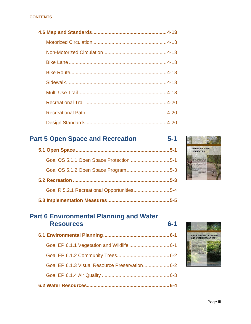#### **CONTENTS**

#### **Part 5 Open Space and Recreation 5-1**

| Goal R 5.2.1 Recreational Opportunities5-4 |  |
|--------------------------------------------|--|
|                                            |  |



#### **Part 6 Environmental Planning and Water Resources 6-1**

| Goal EP 6.1.3 Visual Resource Preservation 6-2 |  |
|------------------------------------------------|--|
|                                                |  |
|                                                |  |

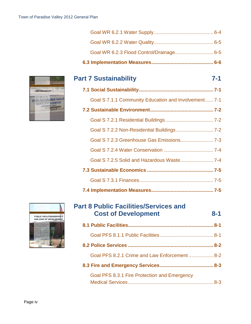| Goal WR 6.2.3 Flood Control/Drainage 6-5 |  |
|------------------------------------------|--|
|                                          |  |
|                                          |  |



#### **Part 7 Sustainability 7-1**

| Goal S 7.1.1 Community Education and Involvement 7-1 |  |
|------------------------------------------------------|--|
|                                                      |  |
|                                                      |  |
| Goal S 7.2.2 Non-Residential Buildings  7-2          |  |
|                                                      |  |
|                                                      |  |
|                                                      |  |
|                                                      |  |
|                                                      |  |
|                                                      |  |



| <b>Part 8 Public Facilities/Services and</b>  |         |
|-----------------------------------------------|---------|
| <b>Cost of Development</b>                    | $8 - 1$ |
|                                               |         |
|                                               |         |
|                                               |         |
| Goal PFS 8.2.1 Crime and Law Enforcement  8-2 |         |
|                                               |         |
| Goal PFS 8.3.1 Fire Protection and Emergency  |         |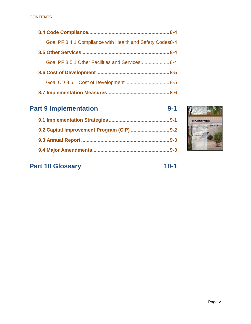#### **CONTENTS**

| Goal PF 8.4.1 Compliance with Health and Safety Codes8-4 |  |
|----------------------------------------------------------|--|
|                                                          |  |
| Goal PF 8.5.1 Other Facilities and Services 8-4          |  |
|                                                          |  |
|                                                          |  |
|                                                          |  |

| $9 - 1$ | <b>Part 9 Implementation</b> | $9 - 1$ |
|---------|------------------------------|---------|
|         |                              |         |
|         |                              |         |
| $9 - 3$ |                              |         |
|         |                              | $9 - 3$ |



#### **Part 10 Glossary 10-1**